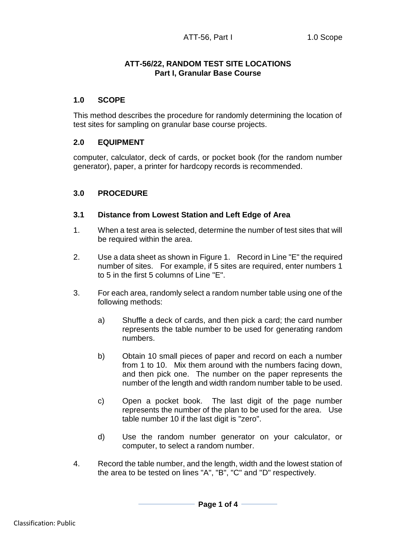# **ATT-56/22, RANDOM TEST SITE LOCATIONS Part I, Granular Base Course**

# **1.0 SCOPE**

This method describes the procedure for randomly determining the location of test sites for sampling on granular base course projects.

## **2.0 EQUIPMENT**

computer, calculator, deck of cards, or pocket book (for the random number generator), paper, a printer for hardcopy records is recommended.

## **3.0 PROCEDURE**

## **3.1 Distance from Lowest Station and Left Edge of Area**

- 1. When a test area is selected, determine the number of test sites that will be required within the area.
- 2. Use a data sheet as shown in Figure 1. Record in Line "E" the required number of sites. For example, if 5 sites are required, enter numbers 1 to 5 in the first 5 columns of Line "E".
- 3. For each area, randomly select a random number table using one of the following methods:
	- a) Shuffle a deck of cards, and then pick a card; the card number represents the table number to be used for generating random numbers.
	- b) Obtain 10 small pieces of paper and record on each a number from 1 to 10. Mix them around with the numbers facing down, and then pick one. The number on the paper represents the number of the length and width random number table to be used.
	- c) Open a pocket book. The last digit of the page number represents the number of the plan to be used for the area. Use table number 10 if the last digit is "zero".
	- d) Use the random number generator on your calculator, or computer, to select a random number.
- 4. Record the table number, and the length, width and the lowest station of the area to be tested on lines "A", "B", "C" and "D" respectively.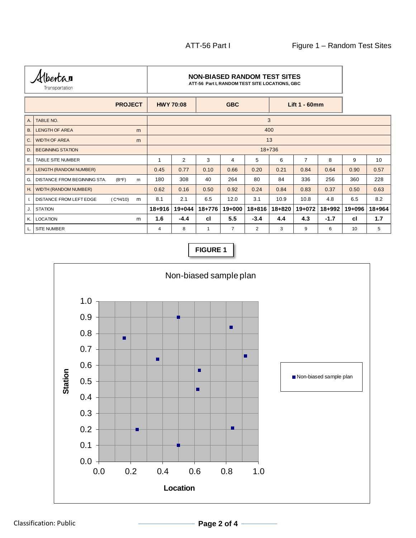| bentar<br>Transportation |                                     |                 | <b>NON-BIASED RANDOM TEST SITES</b><br>ATT-56 Part I, RANDOM TEST SITE LOCATIONS, GBC |                |            |                |        |                      |                |        |        |        |
|--------------------------|-------------------------------------|-----------------|---------------------------------------------------------------------------------------|----------------|------------|----------------|--------|----------------------|----------------|--------|--------|--------|
| <b>PROJECT</b>           |                                     |                 | <b>HWY 70:08</b>                                                                      |                | <b>GBC</b> |                |        | <b>Lift 1 - 60mm</b> |                |        |        |        |
| A.                       | TABLE NO.                           |                 |                                                                                       | 3              |            |                |        |                      |                |        |        |        |
| ΙB.                      | <b>LENGTH OF AREA</b>               | m               |                                                                                       | 400            |            |                |        |                      |                |        |        |        |
| ۱c.                      | <b>WIDTH OF AREA</b>                | m               |                                                                                       | 13             |            |                |        |                      |                |        |        |        |
| l D.                     | <b>BEGINNING STATION</b>            |                 | $18 + 736$                                                                            |                |            |                |        |                      |                |        |        |        |
| Ε.                       | <b>TABLE SITE NUMBER</b>            |                 |                                                                                       | $\overline{2}$ | 3          | 4              | 5      | 6                    | $\overline{7}$ | 8      | 9      | 10     |
| F.                       | LENGTH (RANDOM NUMBER)              |                 | 0.45                                                                                  | 0.77           | 0.10       | 0.66           | 0.20   | 0.21                 | 0.84           | 0.64   | 0.90   | 0.57   |
| ۱G.                      | <b>DISTANCE FROM BEGINNING STA.</b> | $(B*F)$<br>m    | 180                                                                                   | 308            | 40         | 264            | 80     | 84                   | 336            | 256    | 360    | 228    |
| H. I                     | <b>WIDTH (RANDOM NUMBER)</b>        |                 | 0.62                                                                                  | 0.16           | 0.50       | 0.92           | 0.24   | 0.84                 | 0.83           | 0.37   | 0.50   | 0.63   |
| I.                       | <b>DISTANCE FROM LEFT EDGE</b>      | $(C*H/10)$<br>m | 8.1                                                                                   | 2.1            | 6.5        | 12.0           | 3.1    | 10.9                 | 10.8           | 4.8    | 6.5    | 8.2    |
| J.                       | <b>STATION</b>                      |                 | $18 + 916$                                                                            | $19 + 044$     | 18+776     | 19+000         | 18+816 | 18+820               | 19+072         | 18+992 | 19+096 | 18+964 |
| K.                       | <b>LOCATION</b>                     | m               | 1.6                                                                                   | $-4.4$         | cl         | 5.5            | $-3.4$ | 4.4                  | 4.3            | $-1.7$ | cl     | 1.7    |
| L.                       | <b>SITE NUMBER</b>                  |                 | 4                                                                                     | 8              | 1          | $\overline{7}$ | 2      | 3                    | 9              | 6      | 10     | 5      |

**FIGURE 1**

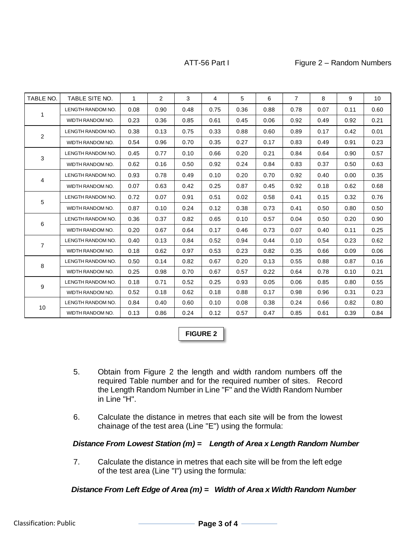### ATT-56 Part I Figure 2 – Random Numbers

|                | ATT-56 Part I     |              |      |      |                |      |      |                | Figure 2 - Random Numbers |      |                 |  |  |  |
|----------------|-------------------|--------------|------|------|----------------|------|------|----------------|---------------------------|------|-----------------|--|--|--|
| TABLE NO.      | TABLE SITE NO.    | $\mathbf{1}$ | 2    | 3    | $\overline{4}$ | 5    | 6    | $\overline{7}$ | 8                         | 9    | 10 <sup>°</sup> |  |  |  |
|                | LENGTH RANDOM NO. | 0.08         | 0.90 | 0.48 | 0.75           | 0.36 | 0.88 | 0.78           | 0.07                      | 0.11 | 0.60            |  |  |  |
| 1              | WIDTH RANDOM NO.  | 0.23         | 0.36 | 0.85 | 0.61           | 0.45 | 0.06 | 0.92           | 0.49                      | 0.92 | 0.21            |  |  |  |
|                | LENGTH RANDOM NO. | 0.38         | 0.13 | 0.75 | 0.33           | 0.88 | 0.60 | 0.89           | 0.17                      | 0.42 | 0.01            |  |  |  |
| $\overline{2}$ | WIDTH RANDOM NO.  | 0.54         | 0.96 | 0.70 | 0.35           | 0.27 | 0.17 | 0.83           | 0.49                      | 0.91 | 0.23            |  |  |  |
|                | LENGTH RANDOM NO. | 0.45         | 0.77 | 0.10 | 0.66           | 0.20 | 0.21 | 0.84           | 0.64                      | 0.90 | 0.57            |  |  |  |
| 3              | WIDTH RANDOM NO.  | 0.62         | 0.16 | 0.50 | 0.92           | 0.24 | 0.84 | 0.83           | 0.37                      | 0.50 | 0.63            |  |  |  |
|                | LENGTH RANDOM NO. | 0.93         | 0.78 | 0.49 | 0.10           | 0.20 | 0.70 | 0.92           | 0.40                      | 0.00 | 0.35            |  |  |  |
| 4              | WIDTH RANDOM NO.  | 0.07         | 0.63 | 0.42 | 0.25           | 0.87 | 0.45 | 0.92           | 0.18                      | 0.62 | 0.68            |  |  |  |
| 5              | LENGTH RANDOM NO. | 0.72         | 0.07 | 0.91 | 0.51           | 0.02 | 0.58 | 0.41           | 0.15                      | 0.32 | 0.76            |  |  |  |
|                | WIDTH RANDOM NO.  | 0.87         | 0.10 | 0.24 | 0.12           | 0.38 | 0.73 | 0.41           | 0.50                      | 0.80 | 0.50            |  |  |  |
| 6              | LENGTH RANDOM NO. | 0.36         | 0.37 | 0.82 | 0.65           | 0.10 | 0.57 | 0.04           | 0.50                      | 0.20 | 0.90            |  |  |  |
|                | WIDTH RANDOM NO.  | 0.20         | 0.67 | 0.64 | 0.17           | 0.46 | 0.73 | 0.07           | 0.40                      | 0.11 | 0.25            |  |  |  |
| $\overline{7}$ | LENGTH RANDOM NO. | 0.40         | 0.13 | 0.84 | 0.52           | 0.94 | 0.44 | 0.10           | 0.54                      | 0.23 | 0.62            |  |  |  |
|                | WIDTH RANDOM NO.  | 0.18         | 0.62 | 0.97 | 0.53           | 0.23 | 0.82 | 0.35           | 0.66                      | 0.09 | 0.06            |  |  |  |
| 8              | LENGTH RANDOM NO. | 0.50         | 0.14 | 0.82 | 0.67           | 0.20 | 0.13 | 0.55           | 0.88                      | 0.87 | 0.16            |  |  |  |
|                | WIDTH RANDOM NO.  | 0.25         | 0.98 | 0.70 | 0.67           | 0.57 | 0.22 | 0.64           | 0.78                      | 0.10 | 0.21            |  |  |  |
| 9              | LENGTH RANDOM NO. | 0.18         | 0.71 | 0.52 | 0.25           | 0.93 | 0.05 | 0.06           | 0.85                      | 0.80 | 0.55            |  |  |  |
|                | WIDTH RANDOM NO.  | 0.52         | 0.18 | 0.62 | 0.18           | 0.88 | 0.17 | 0.98           | 0.96                      | 0.31 | 0.23            |  |  |  |
| 10             | LENGTH RANDOM NO. | 0.84         | 0.40 | 0.60 | 0.10           | 0.08 | 0.38 | 0.24           | 0.66                      | 0.82 | 0.80            |  |  |  |
|                | WIDTH RANDOM NO.  | 0.13         | 0.86 | 0.24 | 0.12           | 0.57 | 0.47 | 0.85           | 0.61                      | 0.39 | 0.84            |  |  |  |

## **FIGURE 2**

- 5. Obtain from Figure 2 the length and width random numbers off the required Table number and for the required number of sites. Record the Length Random Number in Line "F" and the Width Random Number in Line "H".
- 6. Calculate the distance in metres that each site will be from the lowest chainage of the test area (Line "E") using the formula:

Distance From Lowest Station (m) = Length of Area x Length Random Number<br>
7. Calculate the distance in metres that each site will be from the left edge<br>
of the test area (Line "I") using the formula:<br>
Distance From Left Ed 7. Calculate the distance in metres that each site will be from the left edge of the test area (Line "I") using the formula: